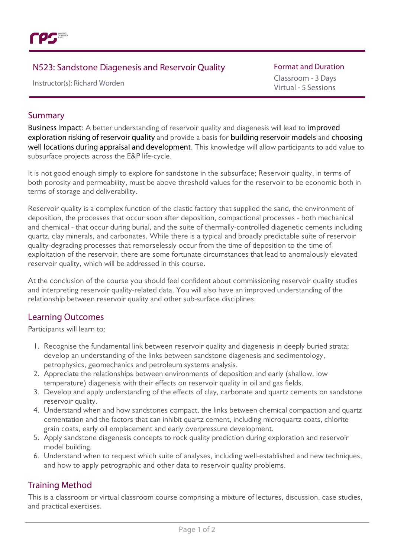

# N523: Sandstone Diagenesisand Reservoir Quality

Instructor(s): Richard Worden

#### **Format and Duration**

Classroom - 3 Days Virtual - 5 Sessions

## Summary

Business Impact: A better understanding of reservoir quality and diagenesis will lead to improved exploration risking of reservoir quality and provide a basis for building reservoir models and choosing well locations during appraisal and development. This knowledge will allow participants to add value to subsurface projects across the E&P life-cycle.

It is not good enough simply to explore for sandstone in the subsurface; Reservoir quality, in terms of both porosity and permeability, must be above threshold values for the reservoir to be economic both in terms of storage and deliverability.

Reservoir quality is a complex function of the clastic factory that supplied the sand, the environment of deposition, the processes that occur soon after deposition, compactional processes - both mechanical and chemical - that occur during burial, and the suite of thermally-controlled diagenetic cements including quartz, clay minerals, and carbonates. While there is a typical and broadly predictable suite of reservoir quality-degrading processes that remorselessly occur from the time of deposition to the time of exploitation of the reservoir, there are some fortunate circumstances that lead to anomalously elevated reservoir quality, which will be addressed in this course.

At the conclusion of the course you should feel confident about commissioning reservoir quality studies and interpreting reservoir quality-related data. You will also have an improved understanding of the relationship between reservoir quality and other sub-surface disciplines.

## Learning Outcomes

Participants will learn to:

- 1. Recognise the fundamental link between reservoir quality and diagenesis in deeply buried strata; develop an understanding of the links between sandstone diagenesis and sedimentology, petrophysics, geomechanics and petroleum systems analysis.
- 2. Appreciate the relationships between environments of deposition and early (shallow, low temperature) diagenesis with their effects on reservoir quality in oil and gas fields.
- 3. Develop and apply understanding of the effects of clay, carbonate and quartz cements on sandstone reservoir quality.
- 4. Understand when and how sandstones compact, the links between chemical compaction and quartz cementation and the factors that can inhibit quartz cement, including microquartz coats, chlorite grain coats, early oil emplacement and early overpressure development.
- 5. Apply sandstone diagenesis concepts to rock quality prediction during exploration and reservoir model building.
- 6. Understand when to request which suite of analyses, including well-established and new techniques, and how to apply petrographic and other data to reservoir quality problems.

## Training Method

This is a classroom or virtual classroom course comprising a mixture of lectures, discussion, case studies, and practical exercises.